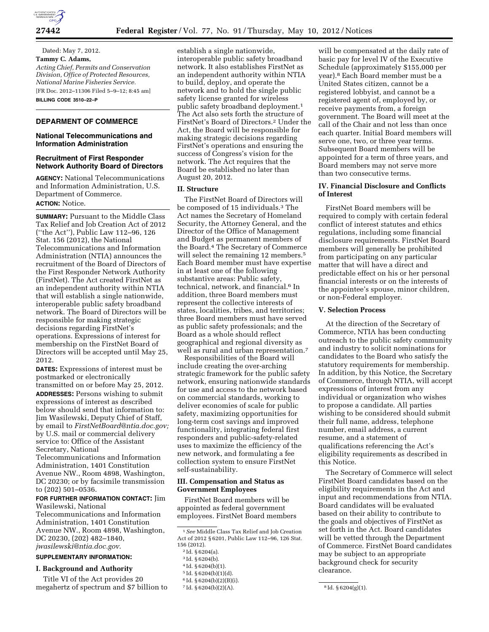

Dated: May 7, 2012. **Tammy C. Adams,**  *Acting Chief, Permits and Conservation Division, Office of Protected Resources, National Marine Fisheries Service.*  [FR Doc. 2012–11306 Filed 5–9–12; 8:45 am] **BILLING CODE 3510–22–P** 

## **DEPARMENT OF COMMERCE**

## **National Telecommunications and Information Administration**

## **Recruitment of First Responder Network Authority Board of Directors**

**AGENCY:** National Telecommunications and Information Administration, U.S. Department of Commerce. **ACTION:** Notice.

**SUMMARY: Pursuant to the Middle Class** Tax Relief and Job Creation Act of 2012 (''the Act''), Public Law 112–96, 126 Stat. 156 (2012), the National Telecommunications and Information Administration (NTIA) announces the recruitment of the Board of Directors of the First Responder Network Authority (FirstNet). The Act created FirstNet as an independent authority within NTIA that will establish a single nationwide, interoperable public safety broadband network. The Board of Directors will be responsible for making strategic decisions regarding FirstNet's operations. Expressions of interest for membership on the FirstNet Board of Directors will be accepted until May 25, 2012.

**DATES:** Expressions of interest must be postmarked or electronically

transmitted on or before May 25, 2012. **ADDRESSES:** Persons wishing to submit expressions of interest as described below should send that information to: Jim Wasilewski, Deputy Chief of Staff, by email to *[FirstNetBoard@ntia.doc.gov;](mailto:FirstNetBoard@ntia.doc.gov)*  by U.S. mail or commercial delivery service to: Office of the Assistant Secretary, National

Telecommunications and Information Administration, 1401 Constitution Avenue NW., Room 4898, Washington, DC 20230; or by facsimile transmission to (202) 501–0536.

#### **FOR FURTHER INFORMATION CONTACT:** Jim Wasilewski, National

Telecommunications and Information Administration, 1401 Constitution Avenue NW., Room 4898, Washington, DC 20230, (202) 482–1840, *[jwasilewski@ntia.doc.gov](mailto:jwasilewski@ntia.doc.gov)*.

# **SUPPLEMENTARY INFORMATION:**

#### **I. Background and Authority**

Title VI of the Act provides 20 megahertz of spectrum and \$7 billion to

establish a single nationwide, interoperable public safety broadband network. It also establishes FirstNet as an independent authority within NTIA to build, deploy, and operate the network and to hold the single public safety license granted for wireless public safety broadband deployment.1 The Act also sets forth the structure of FirstNet's Board of Directors.2 Under the Act, the Board will be responsible for making strategic decisions regarding FirstNet's operations and ensuring the success of Congress's vision for the network. The Act requires that the Board be established no later than August 20, 2012.

#### **II. Structure**

The FirstNet Board of Directors will be composed of 15 individuals.3 The Act names the Secretary of Homeland Security, the Attorney General, and the Director of the Office of Management and Budget as permanent members of the Board.4 The Secretary of Commerce will select the remaining 12 members.<sup>5</sup> Each Board member must have expertise in at least one of the following substantive areas: Public safety, technical, network, and financial.6 In addition, three Board members must represent the collective interests of states, localities, tribes, and territories; three Board members must have served as public safety professionals; and the Board as a whole should reflect geographical and regional diversity as well as rural and urban representation.7

Responsibilities of the Board will include creating the over-arching strategic framework for the public safety network, ensuring nationwide standards for use and access to the network based on commercial standards, working to deliver economies of scale for public safety, maximizing opportunities for long-term cost savings and improved functionality, integrating federal first responders and public-safety-related uses to maximize the efficiency of the new network, and formulating a fee collection system to ensure FirstNet self-sustainability.

### **III. Compensation and Status as Government Employees**

FirstNet Board members will be appointed as federal government employees. FirstNet Board members

will be compensated at the daily rate of basic pay for level IV of the Executive Schedule (approximately \$155,000 per year).8 Each Board member must be a United States citizen, cannot be a registered lobbyist, and cannot be a registered agent of, employed by, or receive payments from, a foreign government. The Board will meet at the call of the Chair and not less than once each quarter. Initial Board members will serve one, two, or three year terms. Subsequent Board members will be appointed for a term of three years, and Board members may not serve more than two consecutive terms.

## **IV. Financial Disclosure and Conflicts of Interest**

FirstNet Board members will be required to comply with certain federal conflict of interest statutes and ethics regulations, including some financial disclosure requirements. FirstNet Board members will generally be prohibited from participating on any particular matter that will have a direct and predictable effect on his or her personal financial interests or on the interests of the appointee's spouse, minor children, or non-Federal employer.

#### **V. Selection Process**

At the direction of the Secretary of Commerce, NTIA has been conducting outreach to the public safety community and industry to solicit nominations for candidates to the Board who satisfy the statutory requirements for membership. In addition, by this Notice, the Secretary of Commerce, through NTIA, will accept expressions of interest from any individual or organization who wishes to propose a candidate. All parties wishing to be considered should submit their full name, address, telephone number, email address, a current resume, and a statement of qualifications referencing the Act's eligibility requirements as described in this Notice.

The Secretary of Commerce will select FirstNet Board candidates based on the eligibility requirements in the Act and input and recommendations from NTIA. Board candidates will be evaluated based on their ability to contribute to the goals and objectives of FirstNet as set forth in the Act. Board candidates will be vetted through the Department of Commerce. FirstNet Board candidates may be subject to an appropriate background check for security clearance.

<sup>1</sup>*See* Middle Class Tax Relief and Job Creation Act of 2012 § 6201, Public Law 112–96, 126 Stat. 156 (2012).

<sup>2</sup> Id. § 6204(a).

<sup>3</sup> Id. § 6204(b).

<sup>4</sup> Id. § 6204(b)(1).

<sup>5</sup> Id. § 6204(b)(1)(d).

 $6$  Id. § 6204(b)(2)(B)(i).

 $8 \text{ Id. }$  \$ 6204(b)(2)(A).  $8 \text{ Id. }$  \$ 6204(g)(1).